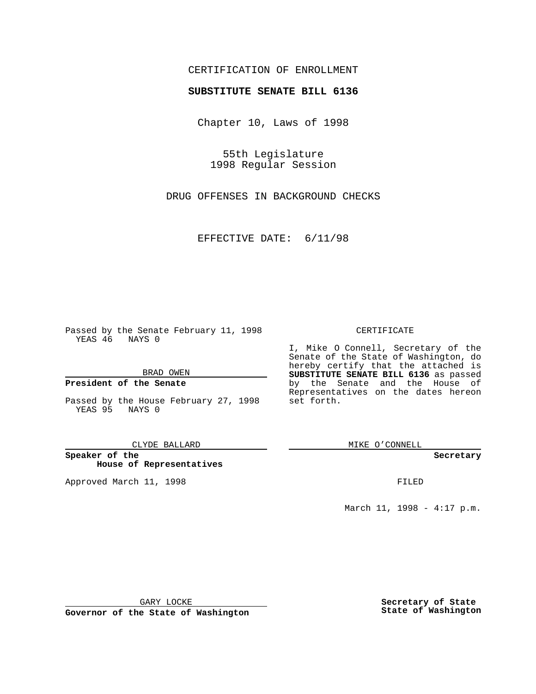## CERTIFICATION OF ENROLLMENT

# **SUBSTITUTE SENATE BILL 6136**

Chapter 10, Laws of 1998

55th Legislature 1998 Regular Session

DRUG OFFENSES IN BACKGROUND CHECKS

EFFECTIVE DATE: 6/11/98

Passed by the Senate February 11, 1998 YEAS 46 NAYS 0

BRAD OWEN

### **President of the Senate**

Passed by the House February 27, 1998 YEAS 95 NAYS 0

CLYDE BALLARD

**Speaker of the House of Representatives**

Approved March 11, 1998 **FILED** 

#### CERTIFICATE

I, Mike O Connell, Secretary of the Senate of the State of Washington, do hereby certify that the attached is **SUBSTITUTE SENATE BILL 6136** as passed by the Senate and the House of Representatives on the dates hereon set forth.

MIKE O'CONNELL

**Secretary**

March 11, 1998 - 4:17 p.m.

GARY LOCKE

**Governor of the State of Washington**

**Secretary of State State of Washington**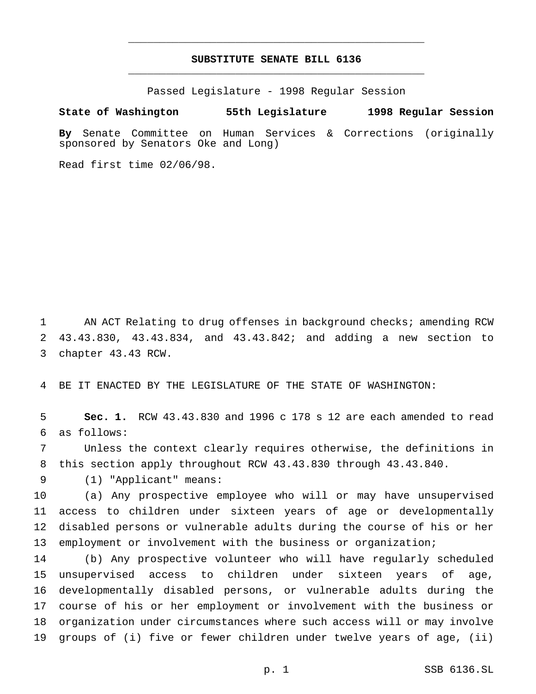## **SUBSTITUTE SENATE BILL 6136** \_\_\_\_\_\_\_\_\_\_\_\_\_\_\_\_\_\_\_\_\_\_\_\_\_\_\_\_\_\_\_\_\_\_\_\_\_\_\_\_\_\_\_\_\_\_\_

\_\_\_\_\_\_\_\_\_\_\_\_\_\_\_\_\_\_\_\_\_\_\_\_\_\_\_\_\_\_\_\_\_\_\_\_\_\_\_\_\_\_\_\_\_\_\_

Passed Legislature - 1998 Regular Session

#### **State of Washington 55th Legislature 1998 Regular Session**

**By** Senate Committee on Human Services & Corrections (originally sponsored by Senators Oke and Long)

Read first time 02/06/98.

 AN ACT Relating to drug offenses in background checks; amending RCW 43.43.830, 43.43.834, and 43.43.842; and adding a new section to chapter 43.43 RCW.

BE IT ENACTED BY THE LEGISLATURE OF THE STATE OF WASHINGTON:

 **Sec. 1.** RCW 43.43.830 and 1996 c 178 s 12 are each amended to read as follows:

 Unless the context clearly requires otherwise, the definitions in this section apply throughout RCW 43.43.830 through 43.43.840.

(1) "Applicant" means:

 (a) Any prospective employee who will or may have unsupervised access to children under sixteen years of age or developmentally disabled persons or vulnerable adults during the course of his or her 13 employment or involvement with the business or organization;

 (b) Any prospective volunteer who will have regularly scheduled unsupervised access to children under sixteen years of age, developmentally disabled persons, or vulnerable adults during the course of his or her employment or involvement with the business or organization under circumstances where such access will or may involve groups of (i) five or fewer children under twelve years of age, (ii)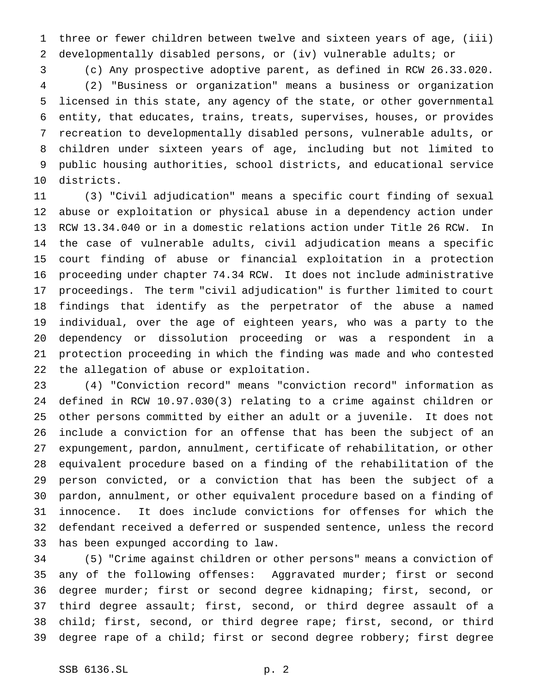three or fewer children between twelve and sixteen years of age, (iii) developmentally disabled persons, or (iv) vulnerable adults; or

 (c) Any prospective adoptive parent, as defined in RCW 26.33.020. (2) "Business or organization" means a business or organization licensed in this state, any agency of the state, or other governmental entity, that educates, trains, treats, supervises, houses, or provides recreation to developmentally disabled persons, vulnerable adults, or children under sixteen years of age, including but not limited to public housing authorities, school districts, and educational service districts.

 (3) "Civil adjudication" means a specific court finding of sexual abuse or exploitation or physical abuse in a dependency action under RCW 13.34.040 or in a domestic relations action under Title 26 RCW. In the case of vulnerable adults, civil adjudication means a specific court finding of abuse or financial exploitation in a protection proceeding under chapter 74.34 RCW. It does not include administrative proceedings. The term "civil adjudication" is further limited to court findings that identify as the perpetrator of the abuse a named individual, over the age of eighteen years, who was a party to the dependency or dissolution proceeding or was a respondent in a protection proceeding in which the finding was made and who contested the allegation of abuse or exploitation.

 (4) "Conviction record" means "conviction record" information as defined in RCW 10.97.030(3) relating to a crime against children or other persons committed by either an adult or a juvenile. It does not include a conviction for an offense that has been the subject of an expungement, pardon, annulment, certificate of rehabilitation, or other equivalent procedure based on a finding of the rehabilitation of the person convicted, or a conviction that has been the subject of a pardon, annulment, or other equivalent procedure based on a finding of innocence. It does include convictions for offenses for which the defendant received a deferred or suspended sentence, unless the record has been expunged according to law.

 (5) "Crime against children or other persons" means a conviction of any of the following offenses: Aggravated murder; first or second degree murder; first or second degree kidnaping; first, second, or third degree assault; first, second, or third degree assault of a child; first, second, or third degree rape; first, second, or third degree rape of a child; first or second degree robbery; first degree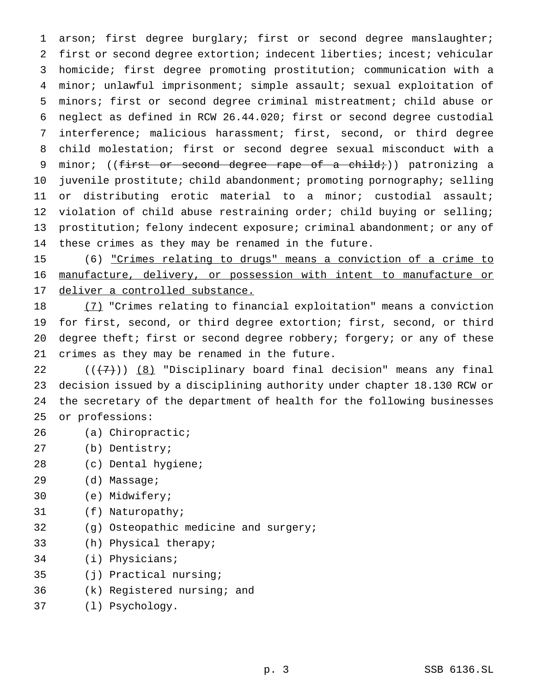arson; first degree burglary; first or second degree manslaughter; first or second degree extortion; indecent liberties; incest; vehicular homicide; first degree promoting prostitution; communication with a minor; unlawful imprisonment; simple assault; sexual exploitation of minors; first or second degree criminal mistreatment; child abuse or neglect as defined in RCW 26.44.020; first or second degree custodial interference; malicious harassment; first, second, or third degree child molestation; first or second degree sexual misconduct with a 9 minor; ((first or second degree rape of a child;)) patronizing a 10 juvenile prostitute; child abandonment; promoting pornography; selling or distributing erotic material to a minor; custodial assault; 12 violation of child abuse restraining order; child buying or selling; 13 prostitution; felony indecent exposure; criminal abandonment; or any of these crimes as they may be renamed in the future.

 (6) "Crimes relating to drugs" means a conviction of a crime to manufacture, delivery, or possession with intent to manufacture or deliver a controlled substance.

 (7) "Crimes relating to financial exploitation" means a conviction for first, second, or third degree extortion; first, second, or third degree theft; first or second degree robbery; forgery; or any of these crimes as they may be renamed in the future.

 $((+7))$   $(8)$  "Disciplinary board final decision" means any final decision issued by a disciplining authority under chapter 18.130 RCW or the secretary of the department of health for the following businesses or professions:

- (a) Chiropractic;
- (b) Dentistry;
- (c) Dental hygiene;
- (d) Massage;
- (e) Midwifery;
- (f) Naturopathy;
- (g) Osteopathic medicine and surgery;
- (h) Physical therapy;
- (i) Physicians;
- (j) Practical nursing;
- (k) Registered nursing; and
- (l) Psychology.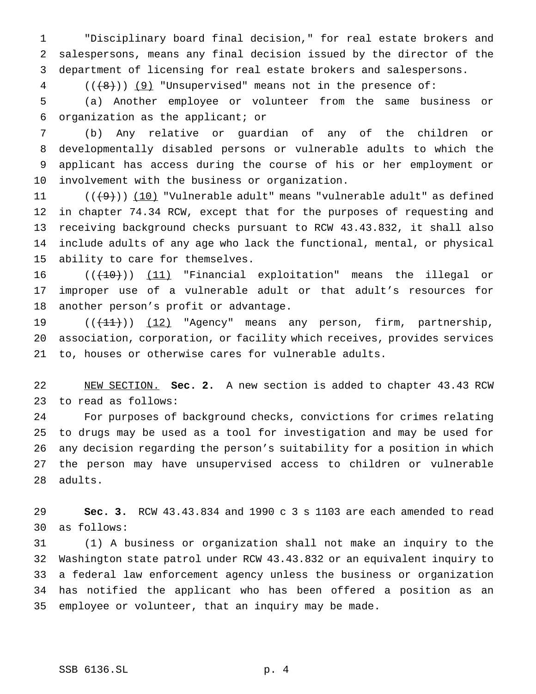"Disciplinary board final decision," for real estate brokers and salespersons, means any final decision issued by the director of the department of licensing for real estate brokers and salespersons.

4 (( $(8)$ )) (9) "Unsupervised" means not in the presence of:

 (a) Another employee or volunteer from the same business or organization as the applicant; or

 (b) Any relative or guardian of any of the children or developmentally disabled persons or vulnerable adults to which the applicant has access during the course of his or her employment or involvement with the business or organization.

 $((+9))$  (10) "Vulnerable adult" means "vulnerable adult" as defined in chapter 74.34 RCW, except that for the purposes of requesting and receiving background checks pursuant to RCW 43.43.832, it shall also include adults of any age who lack the functional, mental, or physical ability to care for themselves.

 $((+10))$  (11) "Financial exploitation" means the illegal or improper use of a vulnerable adult or that adult's resources for another person's profit or advantage.

19 (( $\left(\frac{11}{11}\right)$ ) (12) "Agency" means any person, firm, partnership, association, corporation, or facility which receives, provides services to, houses or otherwise cares for vulnerable adults.

 NEW SECTION. **Sec. 2.** A new section is added to chapter 43.43 RCW to read as follows:

 For purposes of background checks, convictions for crimes relating to drugs may be used as a tool for investigation and may be used for any decision regarding the person's suitability for a position in which the person may have unsupervised access to children or vulnerable adults.

 **Sec. 3.** RCW 43.43.834 and 1990c3s 1103 are each amended to read as follows:

 (1) A business or organization shall not make an inquiry to the Washington state patrol under RCW 43.43.832 or an equivalent inquiry to a federal law enforcement agency unless the business or organization has notified the applicant who has been offered a position as an employee or volunteer, that an inquiry may be made.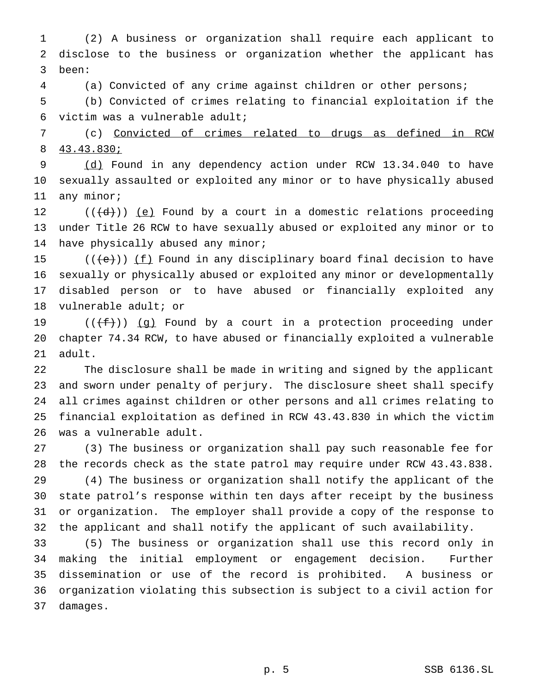(2) A business or organization shall require each applicant to disclose to the business or organization whether the applicant has been:

 (a) Convicted of any crime against children or other persons; (b) Convicted of crimes relating to financial exploitation if the victim was a vulnerable adult;

 (c) Convicted of crimes related to drugs as defined in RCW 43.43.830;

9 (d) Found in any dependency action under RCW 13.34.040 to have sexually assaulted or exploited any minor or to have physically abused any minor;

12  $((\{d\})\)$  (e) Found by a court in a domestic relations proceeding under Title 26 RCW to have sexually abused or exploited any minor or to have physically abused any minor;

 $((\{e\}) \cup \{f\})$  Found in any disciplinary board final decision to have sexually or physically abused or exploited any minor or developmentally disabled person or to have abused or financially exploited any vulnerable adult; or

19  $((\text{#}))$  (g) Found by a court in a protection proceeding under chapter 74.34 RCW, to have abused or financially exploited a vulnerable adult.

 The disclosure shall be made in writing and signed by the applicant and sworn under penalty of perjury. The disclosure sheet shall specify all crimes against children or other persons and all crimes relating to financial exploitation as defined in RCW 43.43.830 in which the victim was a vulnerable adult.

 (3) The business or organization shall pay such reasonable fee for the records check as the state patrol may require under RCW 43.43.838.

 (4) The business or organization shall notify the applicant of the state patrol's response within ten days after receipt by the business or organization. The employer shall provide a copy of the response to the applicant and shall notify the applicant of such availability.

 (5) The business or organization shall use this record only in making the initial employment or engagement decision. Further dissemination or use of the record is prohibited. A business or organization violating this subsection is subject to a civil action for damages.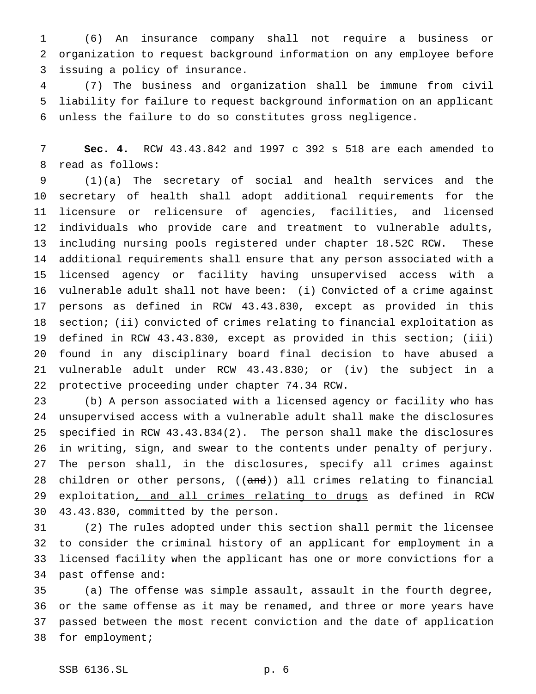(6) An insurance company shall not require a business or organization to request background information on any employee before issuing a policy of insurance.

 (7) The business and organization shall be immune from civil liability for failure to request background information on an applicant unless the failure to do so constitutes gross negligence.

 **Sec. 4.** RCW 43.43.842 and 1997 c 392 s 518 are each amended to read as follows:

 (1)(a) The secretary of social and health services and the secretary of health shall adopt additional requirements for the licensure or relicensure of agencies, facilities, and licensed individuals who provide care and treatment to vulnerable adults, including nursing pools registered under chapter 18.52C RCW. These additional requirements shall ensure that any person associated with a licensed agency or facility having unsupervised access with a vulnerable adult shall not have been: (i) Convicted of a crime against persons as defined in RCW 43.43.830, except as provided in this section; (ii) convicted of crimes relating to financial exploitation as defined in RCW 43.43.830, except as provided in this section; (iii) found in any disciplinary board final decision to have abused a vulnerable adult under RCW 43.43.830; or (iv) the subject in a protective proceeding under chapter 74.34 RCW.

 (b) A person associated with a licensed agency or facility who has unsupervised access with a vulnerable adult shall make the disclosures specified in RCW 43.43.834(2). The person shall make the disclosures in writing, sign, and swear to the contents under penalty of perjury. The person shall, in the disclosures, specify all crimes against 28 children or other persons, ((and)) all crimes relating to financial 29 exploitation, and all crimes relating to drugs as defined in RCW 43.43.830, committed by the person.

 (2) The rules adopted under this section shall permit the licensee to consider the criminal history of an applicant for employment in a licensed facility when the applicant has one or more convictions for a past offense and:

 (a) The offense was simple assault, assault in the fourth degree, or the same offense as it may be renamed, and three or more years have passed between the most recent conviction and the date of application for employment;